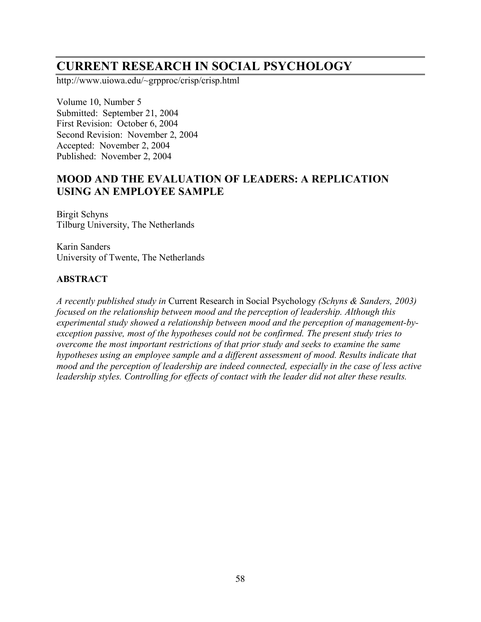# **CURRENT RESEARCH IN SOCIAL PSYCHOLOGY**

http://www.uiowa.edu/~grpproc/crisp/crisp.html

Volume 10, Number 5 Submitted: September 21, 2004 First Revision: October 6, 2004 Second Revision: November 2, 2004 Accepted: November 2, 2004 Published: November 2, 2004

# **MOOD AND THE EVALUATION OF LEADERS: A REPLICATION USING AN EMPLOYEE SAMPLE**

Birgit Schyns Tilburg University, The Netherlands

Karin Sanders University of Twente, The Netherlands

### **ABSTRACT**

*A recently published study in* Current Research in Social Psychology *(Schyns & Sanders, 2003) focused on the relationship between mood and the perception of leadership. Although this experimental study showed a relationship between mood and the perception of management-byexception passive, most of the hypotheses could not be confirmed. The present study tries to overcome the most important restrictions of that prior study and seeks to examine the same hypotheses using an employee sample and a different assessment of mood. Results indicate that mood and the perception of leadership are indeed connected, especially in the case of less active leadership styles. Controlling for effects of contact with the leader did not alter these results.*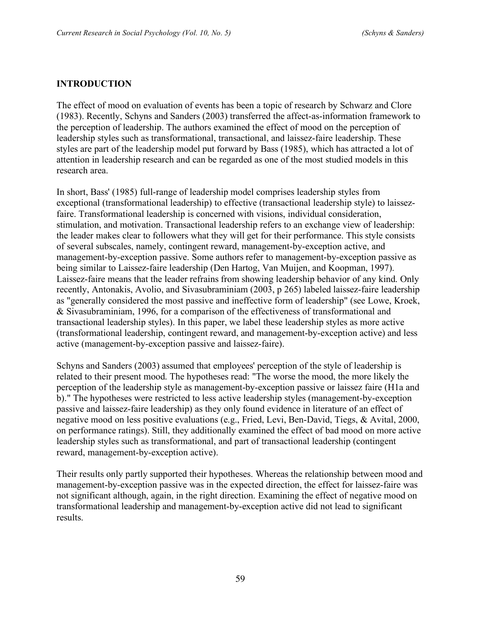#### **INTRODUCTION**

The effect of mood on evaluation of events has been a topic of research by Schwarz and Clore (1983). Recently, Schyns and Sanders (2003) transferred the affect-as-information framework to the perception of leadership. The authors examined the effect of mood on the perception of leadership styles such as transformational, transactional, and laissez-faire leadership. These styles are part of the leadership model put forward by Bass (1985), which has attracted a lot of attention in leadership research and can be regarded as one of the most studied models in this research area.

In short, Bass' (1985) full-range of leadership model comprises leadership styles from exceptional (transformational leadership) to effective (transactional leadership style) to laissezfaire. Transformational leadership is concerned with visions, individual consideration, stimulation, and motivation. Transactional leadership refers to an exchange view of leadership: the leader makes clear to followers what they will get for their performance. This style consists of several subscales, namely, contingent reward, management-by-exception active, and management-by-exception passive. Some authors refer to management-by-exception passive as being similar to Laissez-faire leadership (Den Hartog, Van Muijen, and Koopman, 1997). Laissez-faire means that the leader refrains from showing leadership behavior of any kind. Only recently, Antonakis, Avolio, and Sivasubraminiam (2003, p 265) labeled laissez-faire leadership as "generally considered the most passive and ineffective form of leadership" (see Lowe, Kroek, & Sivasubraminiam, 1996, for a comparison of the effectiveness of transformational and transactional leadership styles). In this paper, we label these leadership styles as more active (transformational leadership, contingent reward, and management-by-exception active) and less active (management-by-exception passive and laissez-faire).

Schyns and Sanders (2003) assumed that employees' perception of the style of leadership is related to their present mood. The hypotheses read: "The worse the mood, the more likely the perception of the leadership style as management-by-exception passive or laissez faire (H1a and b)." The hypotheses were restricted to less active leadership styles (management-by-exception passive and laissez-faire leadership) as they only found evidence in literature of an effect of negative mood on less positive evaluations (e.g., Fried, Levi, Ben-David, Tiegs, & Avital, 2000, on performance ratings). Still, they additionally examined the effect of bad mood on more active leadership styles such as transformational, and part of transactional leadership (contingent reward, management-by-exception active).

Their results only partly supported their hypotheses. Whereas the relationship between mood and management-by-exception passive was in the expected direction, the effect for laissez-faire was not significant although, again, in the right direction. Examining the effect of negative mood on transformational leadership and management-by-exception active did not lead to significant results.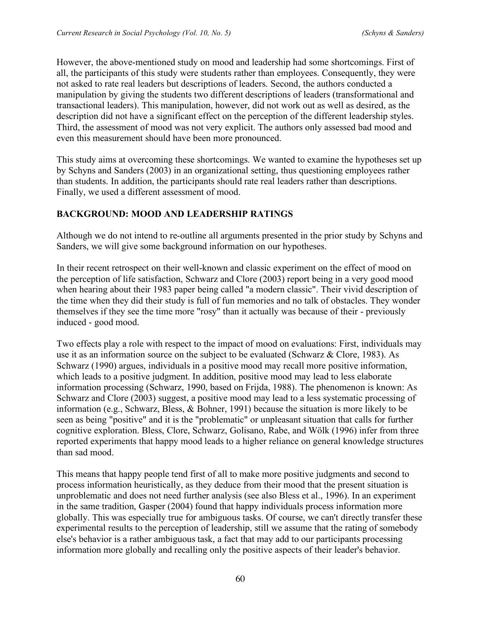However, the above-mentioned study on mood and leadership had some shortcomings. First of all, the participants of this study were students rather than employees. Consequently, they were not asked to rate real leaders but descriptions of leaders. Second, the authors conducted a manipulation by giving the students two different descriptions of leaders (transformational and transactional leaders). This manipulation, however, did not work out as well as desired, as the description did not have a significant effect on the perception of the different leadership styles. Third, the assessment of mood was not very explicit. The authors only assessed bad mood and even this measurement should have been more pronounced.

This study aims at overcoming these shortcomings. We wanted to examine the hypotheses set up by Schyns and Sanders (2003) in an organizational setting, thus questioning employees rather than students. In addition, the participants should rate real leaders rather than descriptions. Finally, we used a different assessment of mood.

### **BACKGROUND: MOOD AND LEADERSHIP RATINGS**

Although we do not intend to re-outline all arguments presented in the prior study by Schyns and Sanders, we will give some background information on our hypotheses.

In their recent retrospect on their well-known and classic experiment on the effect of mood on the perception of life satisfaction, Schwarz and Clore (2003) report being in a very good mood when hearing about their 1983 paper being called "a modern classic". Their vivid description of the time when they did their study is full of fun memories and no talk of obstacles. They wonder themselves if they see the time more "rosy" than it actually was because of their - previously induced - good mood.

Two effects play a role with respect to the impact of mood on evaluations: First, individuals may use it as an information source on the subject to be evaluated (Schwarz & Clore, 1983). As Schwarz (1990) argues, individuals in a positive mood may recall more positive information, which leads to a positive judgment. In addition, positive mood may lead to less elaborate information processing (Schwarz, 1990, based on Frijda, 1988). The phenomenon is known: As Schwarz and Clore (2003) suggest, a positive mood may lead to a less systematic processing of information (e.g., Schwarz, Bless, & Bohner, 1991) because the situation is more likely to be seen as being "positive" and it is the "problematic" or unpleasant situation that calls for further cognitive exploration. Bless, Clore, Schwarz, Golisano, Rabe, and Wölk (1996) infer from three reported experiments that happy mood leads to a higher reliance on general knowledge structures than sad mood.

This means that happy people tend first of all to make more positive judgments and second to process information heuristically, as they deduce from their mood that the present situation is unproblematic and does not need further analysis (see also Bless et al., 1996). In an experiment in the same tradition, Gasper (2004) found that happy individuals process information more globally. This was especially true for ambiguous tasks. Of course, we can't directly transfer these experimental results to the perception of leadership, still we assume that the rating of somebody else's behavior is a rather ambiguous task, a fact that may add to our participants processing information more globally and recalling only the positive aspects of their leader's behavior.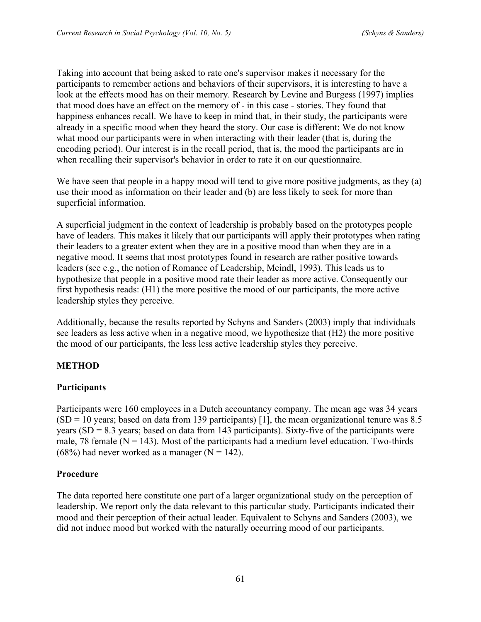Taking into account that being asked to rate one's supervisor makes it necessary for the participants to remember actions and behaviors of their supervisors, it is interesting to have a look at the effects mood has on their memory. Research by Levine and Burgess (1997) implies that mood does have an effect on the memory of - in this case - stories. They found that happiness enhances recall. We have to keep in mind that, in their study, the participants were already in a specific mood when they heard the story. Our case is different: We do not know what mood our participants were in when interacting with their leader (that is, during the encoding period). Our interest is in the recall period, that is, the mood the participants are in when recalling their supervisor's behavior in order to rate it on our questionnaire.

We have seen that people in a happy mood will tend to give more positive judgments, as they (a) use their mood as information on their leader and (b) are less likely to seek for more than superficial information.

A superficial judgment in the context of leadership is probably based on the prototypes people have of leaders. This makes it likely that our participants will apply their prototypes when rating their leaders to a greater extent when they are in a positive mood than when they are in a negative mood. It seems that most prototypes found in research are rather positive towards leaders (see e.g., the notion of Romance of Leadership, Meindl, 1993). This leads us to hypothesize that people in a positive mood rate their leader as more active. Consequently our first hypothesis reads: (H1) the more positive the mood of our participants, the more active leadership styles they perceive.

Additionally, because the results reported by Schyns and Sanders (2003) imply that individuals see leaders as less active when in a negative mood, we hypothesize that (H2) the more positive the mood of our participants, the less less active leadership styles they perceive.

### **METHOD**

### **Participants**

Participants were 160 employees in a Dutch accountancy company. The mean age was 34 years  $(SD = 10$  years; based on data from 139 participants) [1], the mean organizational tenure was 8.5 years ( $SD = 8.3$  years; based on data from 143 participants). Sixty-five of the participants were male, 78 female ( $N = 143$ ). Most of the participants had a medium level education. Two-thirds (68%) had never worked as a manager ( $N = 142$ ).

### **Procedure**

The data reported here constitute one part of a larger organizational study on the perception of leadership. We report only the data relevant to this particular study. Participants indicated their mood and their perception of their actual leader. Equivalent to Schyns and Sanders (2003), we did not induce mood but worked with the naturally occurring mood of our participants.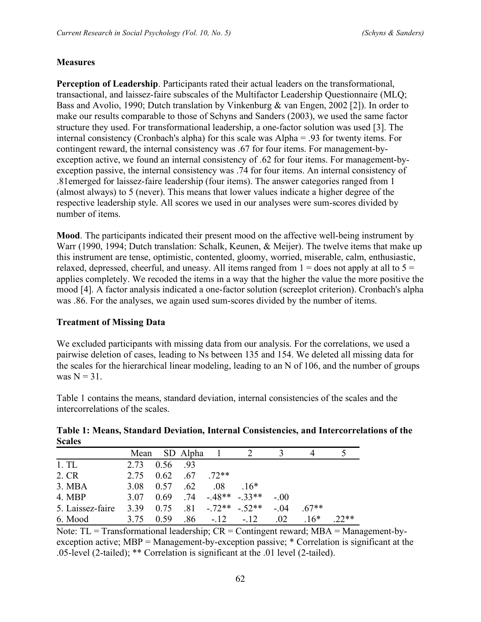#### **Measures**

**Perception of Leadership**. Participants rated their actual leaders on the transformational, transactional, and laissez-faire subscales of the Multifactor Leadership Questionnaire (MLQ; Bass and Avolio, 1990; Dutch translation by Vinkenburg & van Engen, 2002 [2]). In order to make our results comparable to those of Schyns and Sanders (2003), we used the same factor structure they used. For transformational leadership, a one-factor solution was used [3]. The internal consistency (Cronbach's alpha) for this scale was Alpha = .93 for twenty items. For contingent reward, the internal consistency was .67 for four items. For management-byexception active, we found an internal consistency of .62 for four items. For management-byexception passive, the internal consistency was .74 for four items. An internal consistency of .81emerged for laissez-faire leadership (four items). The answer categories ranged from 1 (almost always) to 5 (never). This means that lower values indicate a higher degree of the respective leadership style. All scores we used in our analyses were sum-scores divided by number of items.

**Mood**. The participants indicated their present mood on the affective well-being instrument by Warr (1990, 1994; Dutch translation: Schalk, Keunen, & Meijer). The twelve items that make up this instrument are tense, optimistic, contented, gloomy, worried, miserable, calm, enthusiastic, relaxed, depressed, cheerful, and uneasy. All items ranged from  $1 =$  does not apply at all to  $5 =$ applies completely. We recoded the items in a way that the higher the value the more positive the mood [4]. A factor analysis indicated a one-factor solution (screeplot criterion). Cronbach's alpha was .86. For the analyses, we again used sum-scores divided by the number of items.

#### **Treatment of Missing Data**

We excluded participants with missing data from our analysis. For the correlations, we used a pairwise deletion of cases, leading to Ns between 135 and 154. We deleted all missing data for the scales for the hierarchical linear modeling, leading to an N of 106, and the number of groups was  $N = 31$ .

Table 1 contains the means, standard deviation, internal consistencies of the scales and the intercorrelations of the scales.

#### **Table 1: Means, Standard Deviation, Internal Consistencies, and Intercorrelations of the Scales**

|                  |           |                  | Mean SD Alpha 1 |                   |                                         |       |         |        |
|------------------|-----------|------------------|-----------------|-------------------|-----------------------------------------|-------|---------|--------|
| 1.TL             | 2.73      | 0.56 .93         |                 |                   |                                         |       |         |        |
| 2. CR            | 2.75      | $0.62 \quad .67$ |                 | $72**$            |                                         |       |         |        |
| 3. MBA           | 3.08      | 0.57             | .62             | .08               | $16*$                                   |       |         |        |
| 4. MBP           |           |                  |                 |                   | $3.07$ $0.69$ $.74$ $-0.48**$ $-0.33**$ | $-00$ |         |        |
| 5. Laissez-faire | 3.39 0.75 |                  |                 |                   | $81 - 72** - 52**$                      | $-04$ | $.67**$ |        |
| 6. Mood          | 3.75      | 0.59             |                 | $.86 - .12 - .12$ |                                         | 02    | $16*$   | $22**$ |

Note:  $TL = Transformational leadership$ ;  $CR = Contingent reward$ ;  $MBA = Management-by$ exception active; MBP = Management-by-exception passive; \* Correlation is significant at the .05-level (2-tailed); \*\* Correlation is significant at the .01 level (2-tailed).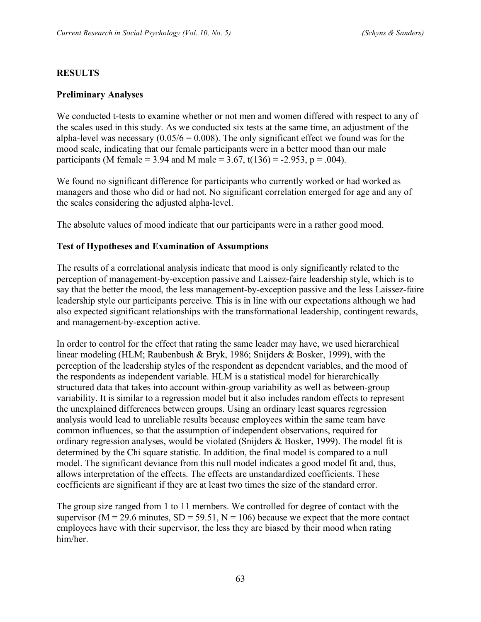#### **RESULTS**

#### **Preliminary Analyses**

We conducted t-tests to examine whether or not men and women differed with respect to any of the scales used in this study. As we conducted six tests at the same time, an adjustment of the alpha-level was necessary  $(0.05/6 = 0.008)$ . The only significant effect we found was for the mood scale, indicating that our female participants were in a better mood than our male participants (M female = 3.94 and M male = 3.67, t(136) = -2.953, p = .004).

We found no significant difference for participants who currently worked or had worked as managers and those who did or had not. No significant correlation emerged for age and any of the scales considering the adjusted alpha-level.

The absolute values of mood indicate that our participants were in a rather good mood.

#### **Test of Hypotheses and Examination of Assumptions**

The results of a correlational analysis indicate that mood is only significantly related to the perception of management-by-exception passive and Laissez-faire leadership style, which is to say that the better the mood, the less management-by-exception passive and the less Laissez-faire leadership style our participants perceive. This is in line with our expectations although we had also expected significant relationships with the transformational leadership, contingent rewards, and management-by-exception active.

In order to control for the effect that rating the same leader may have, we used hierarchical linear modeling (HLM; Raubenbush & Bryk, 1986; Snijders & Bosker, 1999), with the perception of the leadership styles of the respondent as dependent variables, and the mood of the respondents as independent variable. HLM is a statistical model for hierarchically structured data that takes into account within-group variability as well as between-group variability. It is similar to a regression model but it also includes random effects to represent the unexplained differences between groups. Using an ordinary least squares regression analysis would lead to unreliable results because employees within the same team have common influences, so that the assumption of independent observations, required for ordinary regression analyses, would be violated (Snijders & Bosker, 1999). The model fit is determined by the Chi square statistic. In addition, the final model is compared to a null model. The significant deviance from this null model indicates a good model fit and, thus, allows interpretation of the effects. The effects are unstandardized coefficients. These coefficients are significant if they are at least two times the size of the standard error.

The group size ranged from 1 to 11 members. We controlled for degree of contact with the supervisor ( $M = 29.6$  minutes,  $SD = 59.51$ ,  $N = 106$ ) because we expect that the more contact employees have with their supervisor, the less they are biased by their mood when rating him/her.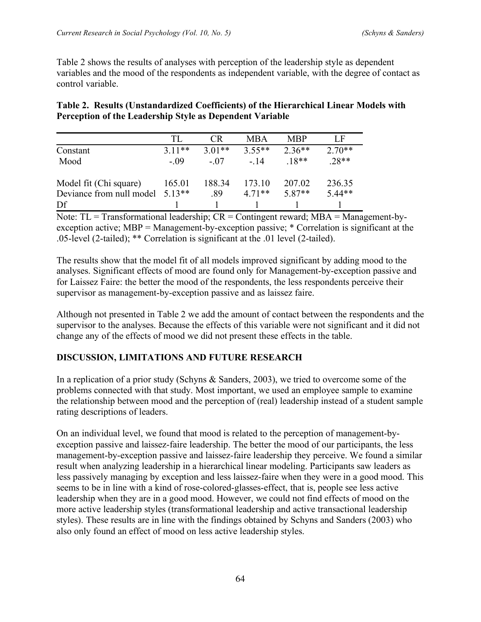Table 2 shows the results of analyses with perception of the leadership style as dependent variables and the mood of the respondents as independent variable, with the degree of contact as control variable.

|                                                          | Table 2. Results (Unstandardized Coefficients) of the Hierarchical Linear Models with |
|----------------------------------------------------------|---------------------------------------------------------------------------------------|
| Perception of the Leadership Style as Dependent Variable |                                                                                       |

|                                             | TL.      | CR.      | <b>MBA</b> | <b>MBP</b> | L F      |
|---------------------------------------------|----------|----------|------------|------------|----------|
| Constant                                    | $3.11**$ | $3.01**$ | $3.55**$   | $2.36**$   | $2.70**$ |
| Mood                                        | - 09     | $-07$    | - 14       | $18**$     | $28**$   |
| Model fit (Chi square)                      | 165.01   | 188.34   | 173.10     | 207.02     | 236.35   |
| Deviance from null model 5.13 <sup>**</sup> |          | .89      | $471**$    | $5.87**$   | $5.44**$ |
| Df                                          |          |          |            |            |          |

Note:  $TL = Transformational leadership$ ;  $CR = Contingent reward$ ;  $MBA = Management-by$ exception active; MBP = Management-by-exception passive; \* Correlation is significant at the .05-level (2-tailed); \*\* Correlation is significant at the .01 level (2-tailed).

The results show that the model fit of all models improved significant by adding mood to the analyses. Significant effects of mood are found only for Management-by-exception passive and for Laissez Faire: the better the mood of the respondents, the less respondents perceive their supervisor as management-by-exception passive and as laissez faire.

Although not presented in Table 2 we add the amount of contact between the respondents and the supervisor to the analyses. Because the effects of this variable were not significant and it did not change any of the effects of mood we did not present these effects in the table.

### **DISCUSSION, LIMITATIONS AND FUTURE RESEARCH**

In a replication of a prior study (Schyns & Sanders, 2003), we tried to overcome some of the problems connected with that study. Most important, we used an employee sample to examine the relationship between mood and the perception of (real) leadership instead of a student sample rating descriptions of leaders.

On an individual level, we found that mood is related to the perception of management-byexception passive and laissez-faire leadership. The better the mood of our participants, the less management-by-exception passive and laissez-faire leadership they perceive. We found a similar result when analyzing leadership in a hierarchical linear modeling. Participants saw leaders as less passively managing by exception and less laissez-faire when they were in a good mood. This seems to be in line with a kind of rose-colored-glasses-effect, that is, people see less active leadership when they are in a good mood. However, we could not find effects of mood on the more active leadership styles (transformational leadership and active transactional leadership styles). These results are in line with the findings obtained by Schyns and Sanders (2003) who also only found an effect of mood on less active leadership styles.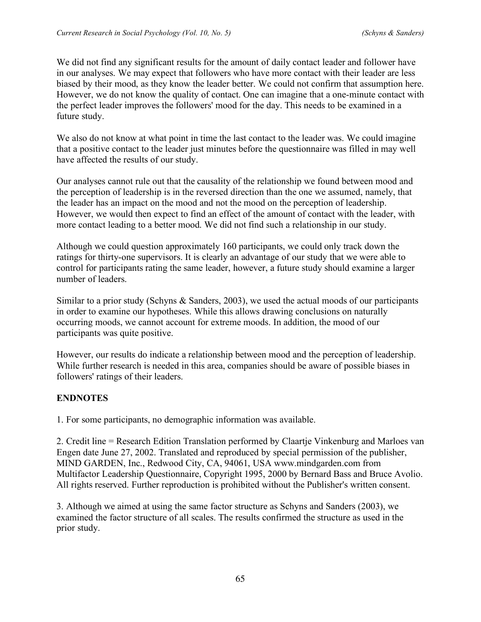We did not find any significant results for the amount of daily contact leader and follower have in our analyses. We may expect that followers who have more contact with their leader are less biased by their mood, as they know the leader better. We could not confirm that assumption here. However, we do not know the quality of contact. One can imagine that a one-minute contact with the perfect leader improves the followers' mood for the day. This needs to be examined in a future study.

We also do not know at what point in time the last contact to the leader was. We could imagine that a positive contact to the leader just minutes before the questionnaire was filled in may well have affected the results of our study.

Our analyses cannot rule out that the causality of the relationship we found between mood and the perception of leadership is in the reversed direction than the one we assumed, namely, that the leader has an impact on the mood and not the mood on the perception of leadership. However, we would then expect to find an effect of the amount of contact with the leader, with more contact leading to a better mood. We did not find such a relationship in our study.

Although we could question approximately 160 participants, we could only track down the ratings for thirty-one supervisors. It is clearly an advantage of our study that we were able to control for participants rating the same leader, however, a future study should examine a larger number of leaders.

Similar to a prior study (Schyns  $\&$  Sanders, 2003), we used the actual moods of our participants in order to examine our hypotheses. While this allows drawing conclusions on naturally occurring moods, we cannot account for extreme moods. In addition, the mood of our participants was quite positive.

However, our results do indicate a relationship between mood and the perception of leadership. While further research is needed in this area, companies should be aware of possible biases in followers' ratings of their leaders.

## **ENDNOTES**

1. For some participants, no demographic information was available.

2. Credit line = Research Edition Translation performed by Claartje Vinkenburg and Marloes van Engen date June 27, 2002. Translated and reproduced by special permission of the publisher, MIND GARDEN, Inc., Redwood City, CA, 94061, USA www.mindgarden.com from Multifactor Leadership Questionnaire, Copyright 1995, 2000 by Bernard Bass and Bruce Avolio. All rights reserved. Further reproduction is prohibited without the Publisher's written consent.

3. Although we aimed at using the same factor structure as Schyns and Sanders (2003), we examined the factor structure of all scales. The results confirmed the structure as used in the prior study.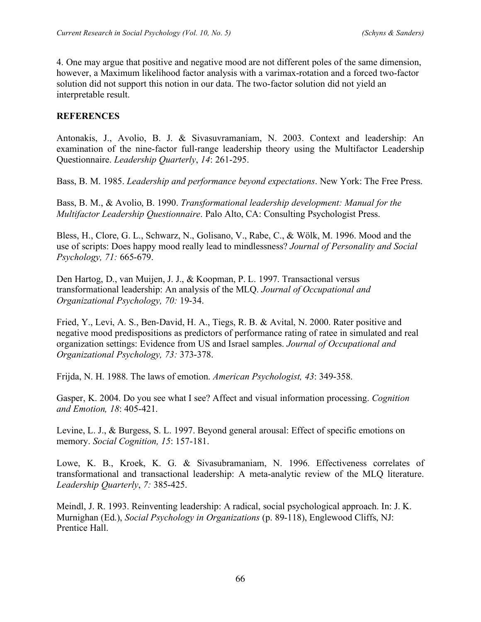4. One may argue that positive and negative mood are not different poles of the same dimension, however, a Maximum likelihood factor analysis with a varimax-rotation and a forced two-factor solution did not support this notion in our data. The two-factor solution did not yield an interpretable result.

### **REFERENCES**

Antonakis, J., Avolio, B. J. & Sivasuvramaniam, N. 2003. Context and leadership: An examination of the nine-factor full-range leadership theory using the Multifactor Leadership Questionnaire. *Leadership Quarterly*, *14*: 261-295.

Bass, B. M. 1985. *Leadership and performance beyond expectations*. New York: The Free Press.

Bass, B. M., & Avolio, B. 1990. *Transformational leadership development: Manual for the Multifactor Leadership Questionnaire*. Palo Alto, CA: Consulting Psychologist Press.

Bless, H., Clore, G. L., Schwarz, N., Golisano, V., Rabe, C., & Wölk, M. 1996. Mood and the use of scripts: Does happy mood really lead to mindlessness? *Journal of Personality and Social Psychology, 71:* 665-679.

Den Hartog, D., van Muijen, J. J., & Koopman, P. L. 1997. Transactional versus transformational leadership: An analysis of the MLQ. *Journal of Occupational and Organizational Psychology, 70:* 19-34.

Fried, Y., Levi, A. S., Ben-David, H. A., Tiegs, R. B. & Avital, N. 2000. Rater positive and negative mood predispositions as predictors of performance rating of ratee in simulated and real organization settings: Evidence from US and Israel samples. *Journal of Occupational and Organizational Psychology, 73:* 373-378.

Frijda, N. H. 1988. The laws of emotion. *American Psychologist, 43*: 349-358.

Gasper, K. 2004. Do you see what I see? Affect and visual information processing. *Cognition and Emotion, 18*: 405-421.

Levine, L. J., & Burgess, S. L. 1997. Beyond general arousal: Effect of specific emotions on memory. *Social Cognition, 15*: 157-181.

Lowe, K. B., Kroek, K. G. & Sivasubramaniam, N. 1996. Effectiveness correlates of transformational and transactional leadership: A meta-analytic review of the MLQ literature. *Leadership Quarterly*, *7:* 385-425.

Meindl, J. R. 1993. Reinventing leadership: A radical, social psychological approach. In: J. K. Murnighan (Ed.), *Social Psychology in Organizations* (p. 89-118), Englewood Cliffs, NJ: Prentice Hall.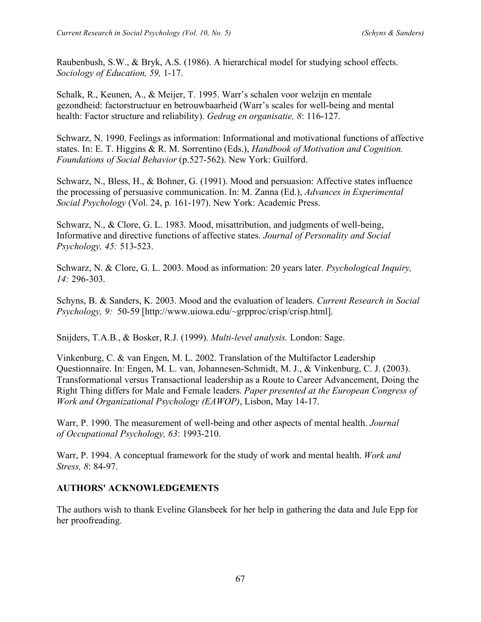Raubenbush, S.W., & Bryk, A.S. (1986). A hierarchical model for studying school effects. *Sociology of Education, 59,* 1-17.

Schalk, R., Keunen, A., & Meijer, T. 1995. Warr's schalen voor welzijn en mentale gezondheid: factorstructuur en betrouwbaarheid (Warr's scales for well-being and mental health: Factor structure and reliability). *Gedrag en organisatie, 8*: 116-127.

Schwarz, N. 1990. Feelings as information: Informational and motivational functions of affective states. In: E. T. Higgins & R. M. Sorrentino (Eds.), *Handbook of Motivation and Cognition. Foundations of Social Behavior* (p.527-562). New York: Guilford.

Schwarz, N., Bless, H., & Bohner, G. (1991). Mood and persuasion: Affective states influence the processing of persuasive communication. In: M. Zanna (Ed.), *Advances in Experimental Social Psychology* (Vol. 24, p. 161-197). New York: Academic Press.

Schwarz, N., & Clore, G. L. 1983. Mood, misattribution, and judgments of well-being, Informative and directive functions of affective states. *Journal of Personality and Social Psychology, 45:* 513-523.

Schwarz, N. & Clore, G. L. 2003. Mood as information: 20 years later. *Psychological Inquiry, 14:* 296-303.

Schyns, B. & Sanders, K. 2003. Mood and the evaluation of leaders. *Current Research in Social Psychology, 9:* 50-59 [http://www.uiowa.edu/~grpproc/crisp/crisp.html].

Snijders, T.A.B., & Bosker, R.J. (1999). *Multi-level analysis.* London: Sage.

Vinkenburg, C. & van Engen, M. L. 2002. Translation of the Multifactor Leadership Questionnaire. In: Engen, M. L. van, Johannesen-Schmidt, M. J., & Vinkenburg, C. J. (2003). Transformational versus Transactional leadership as a Route to Career Advancement, Doing the Right Thing differs for Male and Female leaders. *Paper presented at the European Congress of Work and Organizational Psychology (EAWOP)*, Lisbon, May 14-17.

Warr, P. 1990. The measurement of well-being and other aspects of mental health. *Journal of Occupational Psychology, 63*: 1993-210.

Warr, P. 1994. A conceptual framework for the study of work and mental health. *Work and Stress, 8*: 84-97.

### **AUTHORS' ACKNOWLEDGEMENTS**

The authors wish to thank Eveline Glansbeek for her help in gathering the data and Jule Epp for her proofreading.